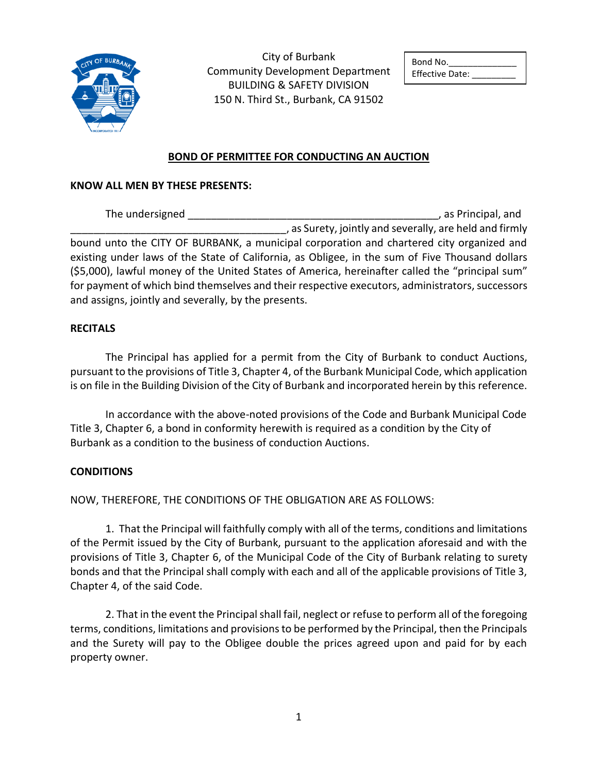

City of Burbank Community Development Department BUILDING & SAFETY DIVISION 150 N. Third St., Burbank, CA 91502

| Bond No.               |
|------------------------|
| <b>Effective Date:</b> |

## **BOND OF PERMITTEE FOR CONDUCTING AN AUCTION**

## **KNOW ALL MEN BY THESE PRESENTS:**

The undersigned \_\_\_\_\_\_\_\_\_\_\_\_\_\_\_\_\_\_\_\_\_\_\_\_\_\_\_\_\_\_\_\_\_\_\_\_\_\_\_\_\_\_\_, as Principal, and \_\_\_\_\_\_\_\_\_\_\_\_\_\_\_\_\_\_\_\_\_\_\_\_\_\_\_\_\_\_\_\_\_\_\_\_\_, as Surety, jointly and severally, are held and firmly bound unto the CITY OF BURBANK, a municipal corporation and chartered city organized and existing under laws of the State of California, as Obligee, in the sum of Five Thousand dollars (\$5,000), lawful money of the United States of America, hereinafter called the "principal sum" for payment of which bind themselves and their respective executors, administrators, successors and assigns, jointly and severally, by the presents.

## **RECITALS**

The Principal has applied for a permit from the City of Burbank to conduct Auctions, pursuant to the provisions of Title 3, Chapter 4, of the Burbank Municipal Code, which application is on file in the Building Division of the City of Burbank and incorporated herein by this reference.

In accordance with the above-noted provisions of the Code and Burbank Municipal Code Title 3, Chapter 6, a bond in conformity herewith is required as a condition by the City of Burbank as a condition to the business of conduction Auctions.

## **CONDITIONS**

NOW, THEREFORE, THE CONDITIONS OF THE OBLIGATION ARE AS FOLLOWS:

1. That the Principal will faithfully comply with all of the terms, conditions and limitations of the Permit issued by the City of Burbank, pursuant to the application aforesaid and with the provisions of Title 3, Chapter 6, of the Municipal Code of the City of Burbank relating to surety bonds and that the Principal shall comply with each and all of the applicable provisions of Title 3, Chapter 4, of the said Code.

2. That in the event the Principal shall fail, neglect or refuse to perform all of the foregoing terms, conditions, limitations and provisions to be performed by the Principal, then the Principals and the Surety will pay to the Obligee double the prices agreed upon and paid for by each property owner.